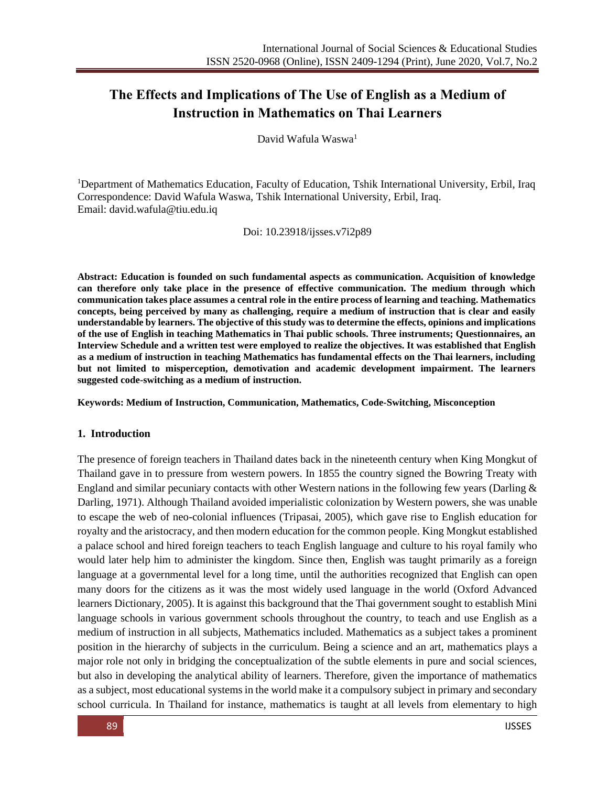# **The Effects and Implications of The Use of English as a Medium of Instruction in Mathematics on Thai Learners**

David Wafula Waswa<sup>1</sup>

<sup>1</sup>Department of Mathematics Education, Faculty of Education, Tshik International University, Erbil, Iraq Correspondence: David Wafula Waswa, Tshik International University, Erbil, Iraq. Email: [david.wafula@tiu.edu.iq](mailto:david.wafula@tiu.edu.iq)

Doi: 10.23918/ijsses.v7i2p89

**Abstract: Education is founded on such fundamental aspects as communication. Acquisition of knowledge can therefore only take place in the presence of effective communication. The medium through which communication takes place assumes a central role in the entire process of learning and teaching. Mathematics concepts, being perceived by many as challenging, require a medium of instruction that is clear and easily understandable by learners. The objective of this study was to determine the effects, opinions and implications of the use of English in teaching Mathematics in Thai public schools. Three instruments; Questionnaires, an Interview Schedule and a written test were employed to realize the objectives. It was established that English as a medium of instruction in teaching Mathematics has fundamental effects on the Thai learners, including but not limited to misperception, demotivation and academic development impairment. The learners suggested code-switching as a medium of instruction.** 

**Keywords: Medium of Instruction, Communication, Mathematics, Code-Switching, Misconception**

#### **1. Introduction**

The presence of foreign teachers in Thailand dates back in the nineteenth century when King Mongkut of Thailand gave in to pressure from western powers. In 1855 the country signed the Bowring Treaty with England and similar pecuniary contacts with other Western nations in the following few years (Darling & Darling, 1971). Although Thailand avoided imperialistic colonization by Western powers, she was unable to escape the web of neo-colonial influences (Tripasai, 2005), which gave rise to English education for royalty and the aristocracy, and then modern education for the common people. King Mongkut established a palace school and hired foreign teachers to teach English language and culture to his royal family who would later help him to administer the kingdom. Since then, English was taught primarily as a foreign language at a governmental level for a long time, until the authorities recognized that English can open many doors for the citizens as it was the most widely used language in the world (Oxford Advanced learners Dictionary, 2005). It is against this background that the Thai government sought to establish Mini language schools in various government schools throughout the country, to teach and use English as a medium of instruction in all subjects, Mathematics included. Mathematics as a subject takes a prominent position in the hierarchy of subjects in the curriculum. Being a science and an art, mathematics plays a major role not only in bridging the conceptualization of the subtle elements in pure and social sciences, but also in developing the analytical ability of learners. Therefore, given the importance of mathematics as a subject, most educational systems in the world make it a compulsory subject in primary and secondary school curricula. In Thailand for instance, mathematics is taught at all levels from elementary to high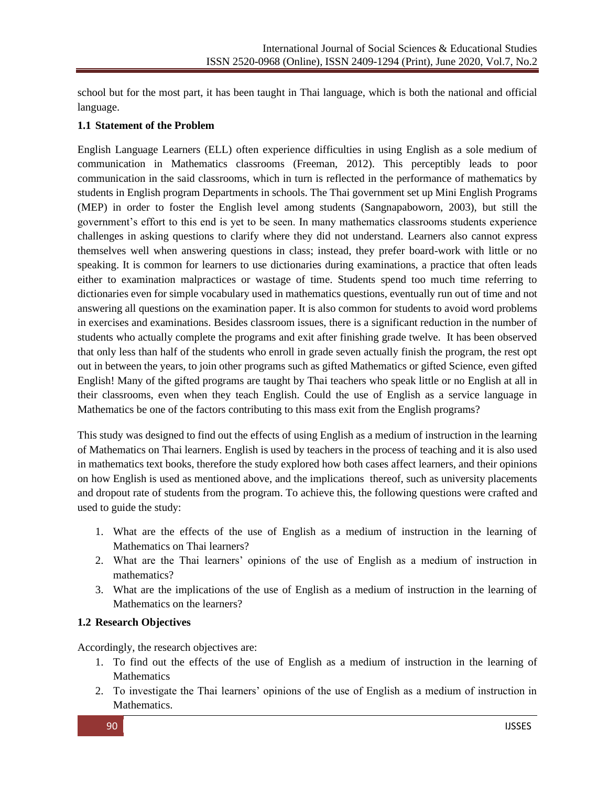school but for the most part, it has been taught in Thai language, which is both the national and official language.

### **1.1 Statement of the Problem**

English Language Learners (ELL) often experience difficulties in using English as a sole medium of communication in Mathematics classrooms (Freeman, 2012). This perceptibly leads to poor communication in the said classrooms, which in turn is reflected in the performance of mathematics by students in English program Departments in schools. The Thai government set up Mini English Programs (MEP) in order to foster the English level among students (Sangnapaboworn, 2003), but still the government's effort to this end is yet to be seen. In many mathematics classrooms students experience challenges in asking questions to clarify where they did not understand. Learners also cannot express themselves well when answering questions in class; instead, they prefer board-work with little or no speaking. It is common for learners to use dictionaries during examinations, a practice that often leads either to examination malpractices or wastage of time. Students spend too much time referring to dictionaries even for simple vocabulary used in mathematics questions, eventually run out of time and not answering all questions on the examination paper. It is also common for students to avoid word problems in exercises and examinations. Besides classroom issues, there is a significant reduction in the number of students who actually complete the programs and exit after finishing grade twelve. It has been observed that only less than half of the students who enroll in grade seven actually finish the program, the rest opt out in between the years, to join other programs such as gifted Mathematics or gifted Science, even gifted English! Many of the gifted programs are taught by Thai teachers who speak little or no English at all in their classrooms, even when they teach English. Could the use of English as a service language in Mathematics be one of the factors contributing to this mass exit from the English programs?

This study was designed to find out the effects of using English as a medium of instruction in the learning of Mathematics on Thai learners. English is used by teachers in the process of teaching and it is also used in mathematics text books, therefore the study explored how both cases affect learners, and their opinions on how English is used as mentioned above, and the implications thereof, such as university placements and dropout rate of students from the program. To achieve this, the following questions were crafted and used to guide the study:

- 1. What are the effects of the use of English as a medium of instruction in the learning of Mathematics on Thai learners?
- 2. What are the Thai learners' opinions of the use of English as a medium of instruction in mathematics?
- 3. What are the implications of the use of English as a medium of instruction in the learning of Mathematics on the learners?

# **1.2 Research Objectives**

Accordingly, the research objectives are:

- 1. To find out the effects of the use of English as a medium of instruction in the learning of **Mathematics**
- 2. To investigate the Thai learners' opinions of the use of English as a medium of instruction in Mathematics.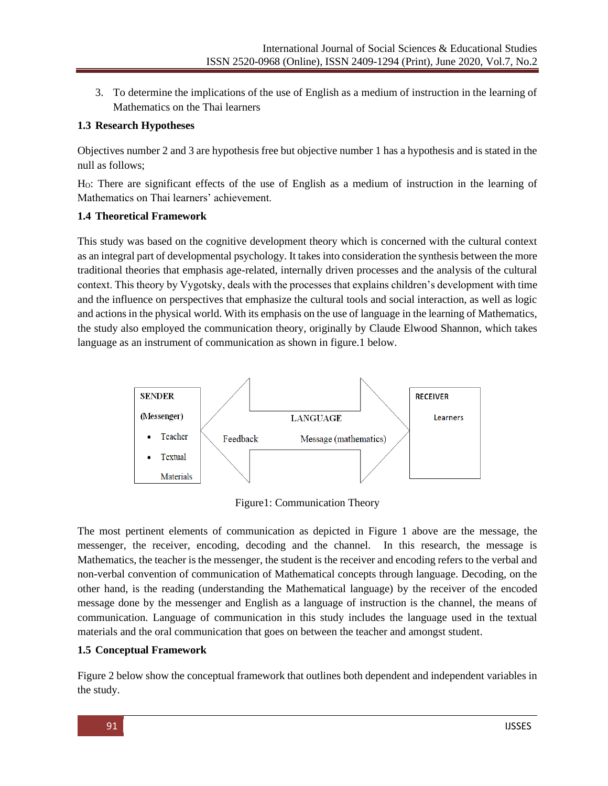3. To determine the implications of the use of English as a medium of instruction in the learning of Mathematics on the Thai learners

### **1.3 Research Hypotheses**

Objectives number 2 and 3 are hypothesis free but objective number 1 has a hypothesis and is stated in the null as follows;

HO: There are significant effects of the use of English as a medium of instruction in the learning of Mathematics on Thai learners' achievement.

### **1.4 Theoretical Framework**

This study was based on the cognitive development theory which is concerned with the cultural context as an integral part of developmental psychology. It takes into consideration the synthesis between the more traditional theories that emphasis age-related, internally driven processes and the analysis of the cultural context. This theory by Vygotsky, deals with the processes that explains children's development with time and the influence on perspectives that emphasize the cultural tools and social interaction, as well as logic and actions in the physical world. With its emphasis on the use of language in the learning of Mathematics, the study also employed the communication theory, originally by [Claude Elwood Shannon,](http://en.wikipedia.org/wiki/Claude_Elwood_Shannon) which takes language as an instrument of communication as shown in figure.1 below.



Figure1: Communication Theory

The most pertinent elements of communication as depicted in Figure 1 above are the message, the messenger, the receiver, encoding, decoding and the channel. In this research, the message is Mathematics, the teacher is the messenger, the student is the receiver and encoding refers to the verbal and non-verbal convention of communication of Mathematical concepts through language. Decoding, on the other hand, is the reading (understanding the Mathematical language) by the receiver of the encoded message done by the messenger and English as a language of instruction is the channel, the means of communication. Language of communication in this study includes the language used in the textual materials and the oral communication that goes on between the teacher and amongst student.

# **1.5 Conceptual Framework**

Figure 2 below show the conceptual framework that outlines both dependent and independent variables in the study.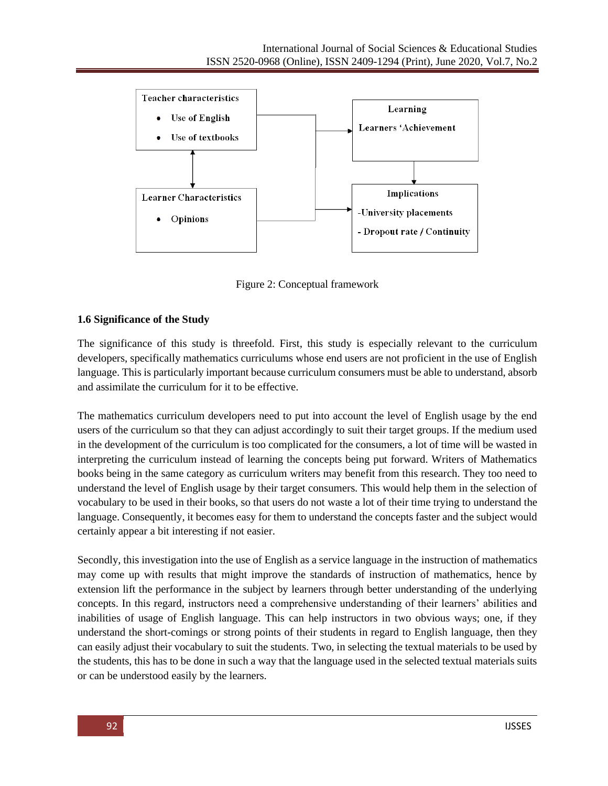

Figure 2: Conceptual framework

# **1.6 Significance of the Study**

The significance of this study is threefold. First, this study is especially relevant to the curriculum developers, specifically mathematics curriculums whose end users are not proficient in the use of English language. This is particularly important because curriculum consumers must be able to understand, absorb and assimilate the curriculum for it to be effective.

The mathematics curriculum developers need to put into account the level of English usage by the end users of the curriculum so that they can adjust accordingly to suit their target groups. If the medium used in the development of the curriculum is too complicated for the consumers, a lot of time will be wasted in interpreting the curriculum instead of learning the concepts being put forward. Writers of Mathematics books being in the same category as curriculum writers may benefit from this research. They too need to understand the level of English usage by their target consumers. This would help them in the selection of vocabulary to be used in their books, so that users do not waste a lot of their time trying to understand the language. Consequently, it becomes easy for them to understand the concepts faster and the subject would certainly appear a bit interesting if not easier.

Secondly, this investigation into the use of English as a service language in the instruction of mathematics may come up with results that might improve the standards of instruction of mathematics, hence by extension lift the performance in the subject by learners through better understanding of the underlying concepts. In this regard, instructors need a comprehensive understanding of their learners' abilities and inabilities of usage of English language. This can help instructors in two obvious ways; one, if they understand the short-comings or strong points of their students in regard to English language, then they can easily adjust their vocabulary to suit the students. Two, in selecting the textual materials to be used by the students, this has to be done in such a way that the language used in the selected textual materials suits or can be understood easily by the learners.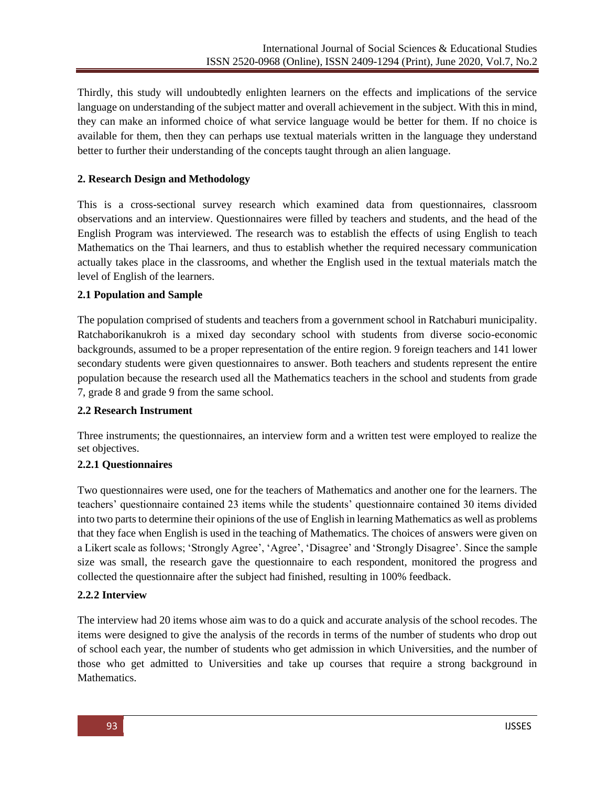Thirdly, this study will undoubtedly enlighten learners on the effects and implications of the service language on understanding of the subject matter and overall achievement in the subject. With this in mind, they can make an informed choice of what service language would be better for them. If no choice is available for them, then they can perhaps use textual materials written in the language they understand better to further their understanding of the concepts taught through an alien language.

### **2. Research Design and Methodology**

This is a cross-sectional survey research which examined data from questionnaires, classroom observations and an interview. Questionnaires were filled by teachers and students, and the head of the English Program was interviewed. The research was to establish the effects of using English to teach Mathematics on the Thai learners, and thus to establish whether the required necessary communication actually takes place in the classrooms, and whether the English used in the textual materials match the level of English of the learners.

### **2.1 Population and Sample**

The population comprised of students and teachers from a government school in Ratchaburi municipality. Ratchaborikanukroh is a mixed day secondary school with students from diverse socio-economic backgrounds, assumed to be a proper representation of the entire region. 9 foreign teachers and 141 lower secondary students were given questionnaires to answer. Both teachers and students represent the entire population because the research used all the Mathematics teachers in the school and students from grade 7, grade 8 and grade 9 from the same school.

### **2.2 Research Instrument**

Three instruments; the questionnaires, an interview form and a written test were employed to realize the set objectives.

# **2.2.1 Questionnaires**

Two questionnaires were used, one for the teachers of Mathematics and another one for the learners. The teachers' questionnaire contained 23 items while the students' questionnaire contained 30 items divided into two parts to determine their opinions of the use of English in learning Mathematics as well as problems that they face when English is used in the teaching of Mathematics. The choices of answers were given on a Likert scale as follows; 'Strongly Agree', 'Agree', 'Disagree' and 'Strongly Disagree'. Since the sample size was small, the research gave the questionnaire to each respondent, monitored the progress and collected the questionnaire after the subject had finished, resulting in 100% feedback.

# **2.2***.***2 Interview**

The interview had 20 items whose aim was to do a quick and accurate analysis of the school recodes. The items were designed to give the analysis of the records in terms of the number of students who drop out of school each year, the number of students who get admission in which Universities, and the number of those who get admitted to Universities and take up courses that require a strong background in Mathematics.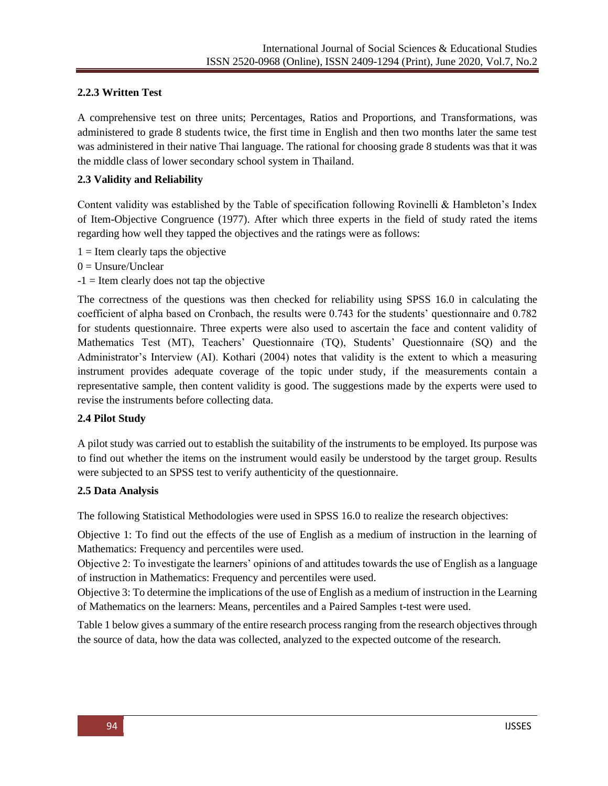# **2.2.3 Written Test**

A comprehensive test on three units; Percentages, Ratios and Proportions, and Transformations, was administered to grade 8 students twice, the first time in English and then two months later the same test was administered in their native Thai language. The rational for choosing grade 8 students was that it was the middle class of lower secondary school system in Thailand.

# **2.3 Validity and Reliability**

Content validity was established by the Table of specification following Rovinelli & Hambleton's Index of Item-Objective Congruence (1977). After which three experts in the field of study rated the items regarding how well they tapped the objectives and the ratings were as follows:

- $1 =$  Item clearly taps the objective
- $0 =$  Unsure/Unclear
- $-1$  = Item clearly does not tap the objective

The correctness of the questions was then checked for reliability using SPSS 16.0 in calculating the coefficient of alpha based on Cronbach, the results were 0.743 for the students' questionnaire and 0.782 for students questionnaire. Three experts were also used to ascertain the face and content validity of Mathematics Test (MT), Teachers' Questionnaire (TQ), Students' Questionnaire (SQ) and the Administrator's Interview (AI). Kothari (2004) notes that validity is the extent to which a measuring instrument provides adequate coverage of the topic under study, if the measurements contain a representative sample, then content validity is good. The suggestions made by the experts were used to revise the instruments before collecting data.

# **2.4 Pilot Study**

A pilot study was carried out to establish the suitability of the instruments to be employed. Its purpose was to find out whether the items on the instrument would easily be understood by the target group. Results were subjected to an SPSS test to verify authenticity of the questionnaire.

### **2.5 Data Analysis**

The following Statistical Methodologies were used in SPSS 16.0 to realize the research objectives:

Objective 1: To find out the effects of the use of English as a medium of instruction in the learning of Mathematics: Frequency and percentiles were used.

Objective 2: To investigate the learners' opinions of and attitudes towards the use of English as a language of instruction in Mathematics: Frequency and percentiles were used.

Objective 3: To determine the implications of the use of English as a medium of instruction in the Learning of Mathematics on the learners: Means, percentiles and a Paired Samples t-test were used.

Table 1 below gives a summary of the entire research process ranging from the research objectives through the source of data, how the data was collected, analyzed to the expected outcome of the research.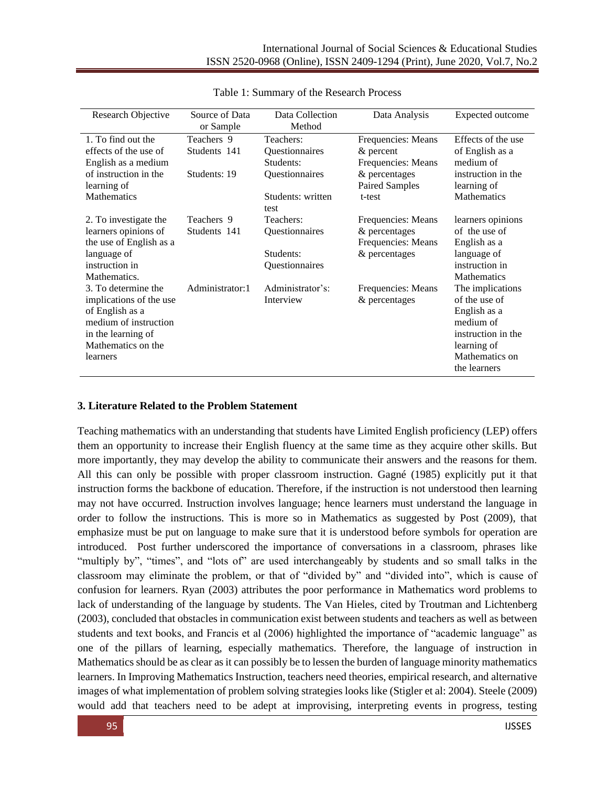| Research Objective                                                                                                                                 | Source of Data<br>or Sample                | Data Collection<br>Method                                                       | Data Analysis                                                                                               | Expected outcome                                                                                                                      |
|----------------------------------------------------------------------------------------------------------------------------------------------------|--------------------------------------------|---------------------------------------------------------------------------------|-------------------------------------------------------------------------------------------------------------|---------------------------------------------------------------------------------------------------------------------------------------|
| 1. To find out the<br>effects of the use of<br>English as a medium<br>of instruction in the<br>learning of<br><b>Mathematics</b>                   | Teachers 9<br>Students 141<br>Students: 19 | Teachers:<br>Questionnaires<br>Students:<br>Questionnaires<br>Students: written | Frequencies: Means<br>$&$ percent<br>Frequencies: Means<br>& percentages<br><b>Paired Samples</b><br>t-test | Effects of the use<br>of English as a<br>medium of<br>instruction in the<br>learning of<br><b>Mathematics</b>                         |
| 2. To investigate the<br>learners opinions of<br>the use of English as a<br>language of<br>instruction in<br>Mathematics.                          | Teachers 9<br>Students 141                 | test<br>Teachers:<br>Questionnaires<br>Students:<br>Questionnaires              | Frequencies: Means<br>& percentages<br>Frequencies: Means<br>& percentages                                  | learners opinions<br>of the use of<br>English as a<br>language of<br>instruction in<br>Mathematics                                    |
| 3. To determine the<br>implications of the use<br>of English as a<br>medium of instruction<br>in the learning of<br>Mathematics on the<br>learners | Administrator:1                            | Administrator's:<br>Interview                                                   | Frequencies: Means<br>& percentages                                                                         | The implications<br>of the use of<br>English as a<br>medium of<br>instruction in the<br>learning of<br>Mathematics on<br>the learners |

Table 1: Summary of the Research Process

### **3. Literature Related to the Problem Statement**

Teaching mathematics with an understanding that students have Limited English proficiency (LEP) offers them an opportunity to increase their English fluency at the same time as they acquire other skills. But more importantly, they may develop the ability to communicate their answers and the reasons for them. All this can only be possible with proper classroom instruction. Gagné (1985) explicitly put it that instruction forms the backbone of education. Therefore, if the instruction is not understood then learning may not have occurred. Instruction involves language; hence learners must understand the language in order to follow the instructions. This is more so in Mathematics as suggested by Post (2009), that emphasize must be put on language to make sure that it is understood before symbols for operation are introduced. Post further underscored the importance of conversations in a classroom, phrases like "multiply by", "times", and "lots of" are used interchangeably by students and so small talks in the classroom may eliminate the problem, or that of "divided by" and "divided into", which is cause of confusion for learners. Ryan (2003) attributes the poor performance in Mathematics word problems to lack of understanding of the language by students. The Van Hieles, cited by Troutman and Lichtenberg (2003), concluded that obstacles in communication exist between students and teachers as well as between students and text books, and Francis et al (2006) highlighted the importance of "academic language" as one of the pillars of learning, especially mathematics. Therefore, the language of instruction in Mathematics should be as clear as it can possibly be to lessen the burden of language minority mathematics learners. In Improving Mathematics Instruction, teachers need theories, empirical research, and alternative images of what implementation of problem solving strategies looks like (Stigler et al: 2004). Steele (2009) would add that teachers need to be adept at improvising, interpreting events in progress, testing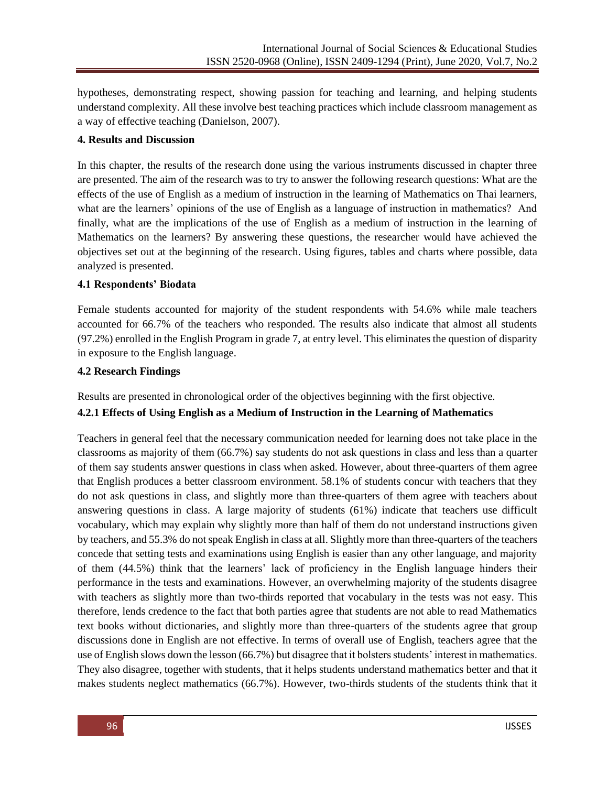hypotheses, demonstrating respect, showing passion for teaching and learning, and helping students understand complexity. All these involve best teaching practices which include classroom management as a way of effective teaching (Danielson, 2007).

### **4. Results and Discussion**

In this chapter, the results of the research done using the various instruments discussed in chapter three are presented. The aim of the research was to try to answer the following research questions: What are the effects of the use of English as a medium of instruction in the learning of Mathematics on Thai learners, what are the learners' opinions of the use of English as a language of instruction in mathematics? And finally, what are the implications of the use of English as a medium of instruction in the learning of Mathematics on the learners? By answering these questions, the researcher would have achieved the objectives set out at the beginning of the research. Using figures, tables and charts where possible, data analyzed is presented.

### **4.1 Respondents' Biodata**

Female students accounted for majority of the student respondents with 54.6% while male teachers accounted for 66.7% of the teachers who responded. The results also indicate that almost all students (97.2%) enrolled in the English Program in grade 7, at entry level. This eliminates the question of disparity in exposure to the English language.

### **4.2 Research Findings**

Results are presented in chronological order of the objectives beginning with the first objective.

# **4.2.1 Effects of Using English as a Medium of Instruction in the Learning of Mathematics**

Teachers in general feel that the necessary communication needed for learning does not take place in the classrooms as majority of them (66.7%) say students do not ask questions in class and less than a quarter of them say students answer questions in class when asked. However, about three-quarters of them agree that English produces a better classroom environment. 58.1% of students concur with teachers that they do not ask questions in class, and slightly more than three-quarters of them agree with teachers about answering questions in class. A large majority of students (61%) indicate that teachers use difficult vocabulary, which may explain why slightly more than half of them do not understand instructions given by teachers, and 55.3% do not speak English in class at all. Slightly more than three-quarters of the teachers concede that setting tests and examinations using English is easier than any other language, and majority of them (44.5%) think that the learners' lack of proficiency in the English language hinders their performance in the tests and examinations. However, an overwhelming majority of the students disagree with teachers as slightly more than two-thirds reported that vocabulary in the tests was not easy. This therefore, lends credence to the fact that both parties agree that students are not able to read Mathematics text books without dictionaries, and slightly more than three-quarters of the students agree that group discussions done in English are not effective. In terms of overall use of English, teachers agree that the use of English slows down the lesson (66.7%) but disagree that it bolsters students' interest in mathematics. They also disagree, together with students, that it helps students understand mathematics better and that it makes students neglect mathematics (66.7%). However, two-thirds students of the students think that it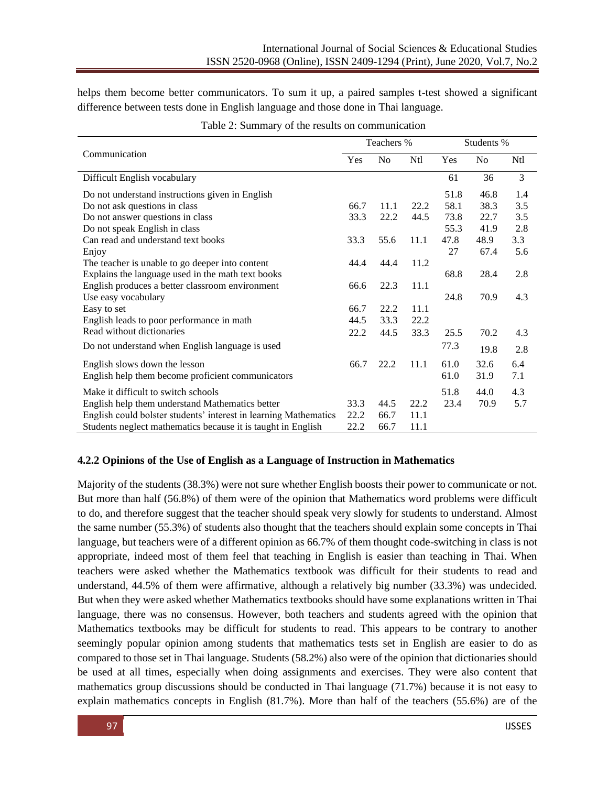helps them become better communicators. To sum it up, a paired samples t-test showed a significant difference between tests done in English language and those done in Thai language.

|                                                                  |      | Teachers %     |      | Students % |      |                 |
|------------------------------------------------------------------|------|----------------|------|------------|------|-----------------|
| Communication                                                    | Yes  | N <sub>0</sub> | Ntl  | Yes        | No   | N <sub>tl</sub> |
| Difficult English vocabulary                                     |      |                |      | 61         | 36   | 3               |
| Do not understand instructions given in English                  |      |                |      | 51.8       | 46.8 | 1.4             |
| Do not ask questions in class                                    | 66.7 | 11.1           | 22.2 | 58.1       | 38.3 | 3.5             |
| Do not answer questions in class                                 | 33.3 | 22.2           | 44.5 | 73.8       | 22.7 | 3.5             |
| Do not speak English in class                                    |      |                |      | 55.3       | 41.9 | 2.8             |
| Can read and understand text books                               | 33.3 | 55.6           | 11.1 | 47.8       | 48.9 | 3.3             |
| Enjoy                                                            |      |                |      | 27         | 67.4 | 5.6             |
| The teacher is unable to go deeper into content                  | 44.4 | 44.4           | 11.2 |            |      |                 |
| Explains the language used in the math text books                |      |                |      | 68.8       | 28.4 | 2.8             |
| English produces a better classroom environment                  | 66.6 | 22.3           | 11.1 |            |      |                 |
| Use easy vocabulary                                              |      |                |      | 24.8       | 70.9 | 4.3             |
| Easy to set                                                      | 66.7 | 22.2           | 11.1 |            |      |                 |
| English leads to poor performance in math                        | 44.5 | 33.3           | 22.2 |            |      |                 |
| Read without dictionaries                                        | 22.2 | 44.5           | 33.3 | 25.5       | 70.2 | 4.3             |
| Do not understand when English language is used                  |      |                |      | 77.3       | 19.8 | 2.8             |
| English slows down the lesson                                    | 66.7 | 22.2           | 11.1 | 61.0       | 32.6 | 6.4             |
| English help them become proficient communicators                |      |                |      | 61.0       | 31.9 | 7.1             |
| Make it difficult to switch schools                              |      |                |      | 51.8       | 44.0 | 4.3             |
| English help them understand Mathematics better                  | 33.3 | 44.5           | 22.2 | 23.4       | 70.9 | 5.7             |
| English could bolster students' interest in learning Mathematics | 22.2 | 66.7           | 11.1 |            |      |                 |
| Students neglect mathematics because it is taught in English     | 22.2 | 66.7           | 11.1 |            |      |                 |

| Table 2: Summary of the results on communication |
|--------------------------------------------------|
|--------------------------------------------------|

### **4.2.2 Opinions of the Use of English as a Language of Instruction in Mathematics**

Majority of the students (38.3%) were not sure whether English boosts their power to communicate or not. But more than half (56.8%) of them were of the opinion that Mathematics word problems were difficult to do, and therefore suggest that the teacher should speak very slowly for students to understand. Almost the same number (55.3%) of students also thought that the teachers should explain some concepts in Thai language, but teachers were of a different opinion as 66.7% of them thought code-switching in class is not appropriate, indeed most of them feel that teaching in English is easier than teaching in Thai. When teachers were asked whether the Mathematics textbook was difficult for their students to read and understand, 44.5% of them were affirmative, although a relatively big number (33.3%) was undecided. But when they were asked whether Mathematics textbooks should have some explanations written in Thai language, there was no consensus. However, both teachers and students agreed with the opinion that Mathematics textbooks may be difficult for students to read. This appears to be contrary to another seemingly popular opinion among students that mathematics tests set in English are easier to do as compared to those set in Thai language. Students (58.2%) also were of the opinion that dictionaries should be used at all times, especially when doing assignments and exercises. They were also content that mathematics group discussions should be conducted in Thai language (71.7%) because it is not easy to explain mathematics concepts in English (81.7%). More than half of the teachers (55.6%) are of the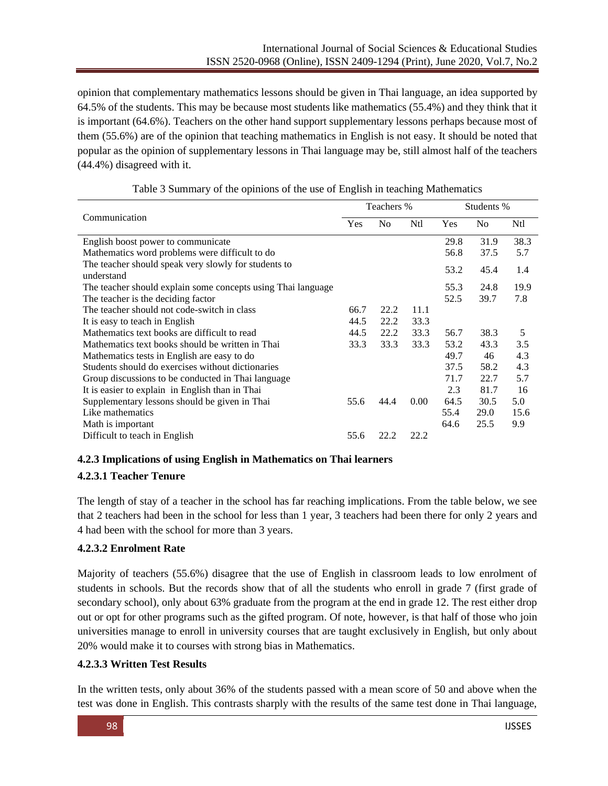opinion that complementary mathematics lessons should be given in Thai language, an idea supported by 64.5% of the students. This may be because most students like mathematics (55.4%) and they think that it is important (64.6%). Teachers on the other hand support supplementary lessons perhaps because most of them (55.6%) are of the opinion that teaching mathematics in English is not easy. It should be noted that popular as the opinion of supplementary lessons in Thai language may be, still almost half of the teachers (44.4%) disagreed with it.

|                                                                    |      | Teachers %     |      |      | Students % |      |  |
|--------------------------------------------------------------------|------|----------------|------|------|------------|------|--|
| Communication                                                      | Yes  | N <sub>o</sub> | Ntl  | Yes  | No         | Ntl  |  |
| English boost power to communicate                                 |      |                |      | 29.8 | 31.9       | 38.3 |  |
| Mathematics word problems were difficult to do                     |      |                |      | 56.8 | 37.5       | 5.7  |  |
| The teacher should speak very slowly for students to<br>understand |      |                |      | 53.2 | 45.4       | 1.4  |  |
| The teacher should explain some concepts using Thai language       |      |                |      | 55.3 | 24.8       | 19.9 |  |
| The teacher is the deciding factor                                 |      |                |      | 52.5 | 39.7       | 7.8  |  |
| The teacher should not code-switch in class                        | 66.7 | 22.2           | 11.1 |      |            |      |  |
| It is easy to teach in English                                     | 44.5 | 22.2           | 33.3 |      |            |      |  |
| Mathematics text books are difficult to read                       | 44.5 | 22.2           | 33.3 | 56.7 | 38.3       | 5    |  |
| Mathematics text books should be written in Thai                   | 33.3 | 33.3           | 33.3 | 53.2 | 43.3       | 3.5  |  |
| Mathematics tests in English are easy to do                        |      |                |      | 49.7 | 46         | 4.3  |  |
| Students should do exercises without dictionaries                  |      |                |      | 37.5 | 58.2       | 4.3  |  |
| Group discussions to be conducted in Thai language                 |      |                |      | 71.7 | 22.7       | 5.7  |  |
| It is easier to explain in English than in Thai                    |      |                |      | 2.3  | 81.7       | 16   |  |
| Supplementary lessons should be given in Thai                      | 55.6 | 44.4           | 0.00 | 64.5 | 30.5       | 5.0  |  |
| Like mathematics                                                   |      |                |      | 55.4 | 29.0       | 15.6 |  |
| Math is important                                                  |      |                |      | 64.6 | 25.5       | 9.9  |  |
| Difficult to teach in English                                      | 55.6 | 22.2           | 22.2 |      |            |      |  |

Table 3 Summary of the opinions of the use of English in teaching Mathematics

# **4.2.3 Implications of using English in Mathematics on Thai learners**

# **4.2.3.1 Teacher Tenure**

The length of stay of a teacher in the school has far reaching implications. From the table below, we see that 2 teachers had been in the school for less than 1 year, 3 teachers had been there for only 2 years and 4 had been with the school for more than 3 years.

# **4.2.3.2 Enrolment Rate**

Majority of teachers (55.6%) disagree that the use of English in classroom leads to low enrolment of students in schools. But the records show that of all the students who enroll in grade 7 (first grade of secondary school), only about 63% graduate from the program at the end in grade 12. The rest either drop out or opt for other programs such as the gifted program. Of note, however, is that half of those who join universities manage to enroll in university courses that are taught exclusively in English, but only about 20% would make it to courses with strong bias in Mathematics.

# **4.2.3.3 Written Test Results**

In the written tests, only about 36% of the students passed with a mean score of 50 and above when the test was done in English. This contrasts sharply with the results of the same test done in Thai language,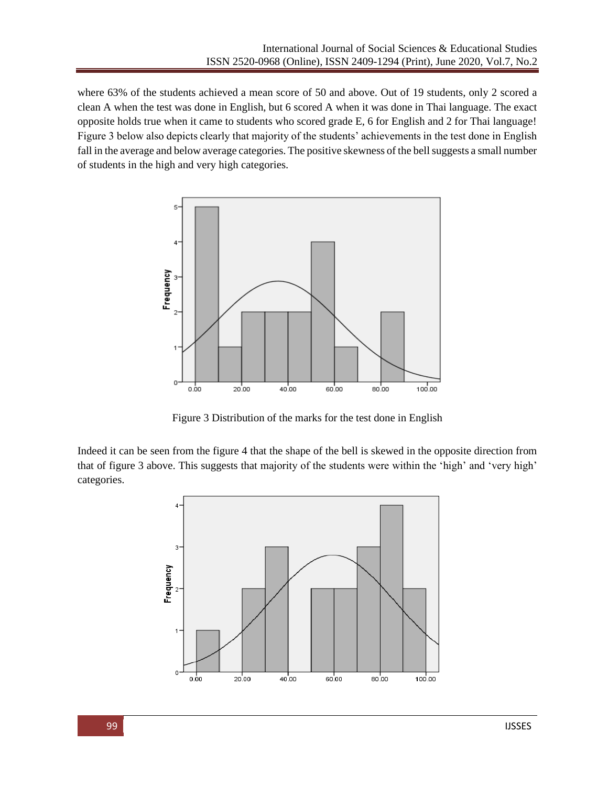where 63% of the students achieved a mean score of 50 and above. Out of 19 students, only 2 scored a clean A when the test was done in English, but 6 scored A when it was done in Thai language. The exact opposite holds true when it came to students who scored grade E, 6 for English and 2 for Thai language! Figure 3 below also depicts clearly that majority of the students' achievements in the test done in English fall in the average and below average categories. The positive skewness of the bell suggests a small number of students in the high and very high categories.



Figure 3 Distribution of the marks for the test done in English

Indeed it can be seen from the figure 4 that the shape of the bell is skewed in the opposite direction from that of figure 3 above. This suggests that majority of the students were within the 'high' and 'very high' categories.

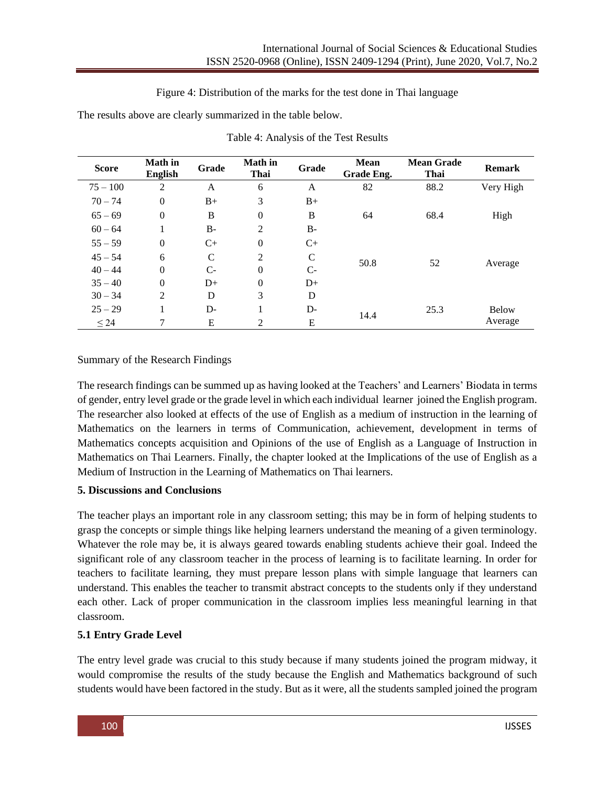Figure 4: Distribution of the marks for the test done in Thai language

The results above are clearly summarized in the table below.

| <b>Score</b> | <b>Math</b> in<br><b>English</b> | Grade         | <b>Math</b> in<br>Thai | Grade        | <b>Mean</b><br>Grade Eng. | <b>Mean Grade</b><br>Thai | <b>Remark</b> |
|--------------|----------------------------------|---------------|------------------------|--------------|---------------------------|---------------------------|---------------|
| $75 - 100$   | 2                                | A             | 6                      | A            | 82                        | 88.2                      | Very High     |
| $70 - 74$    | $\overline{0}$                   | $B+$          | 3                      | $B+$         |                           |                           |               |
| $65 - 69$    | $\overline{0}$                   | B             | $\mathbf{0}$           | B            | 64                        | 68.4                      | High          |
| $60 - 64$    |                                  | $B-$          | 2                      | $B-$         |                           |                           |               |
| $55 - 59$    | $\overline{0}$                   | $C+$          | $\mathbf{0}$           | $C+$         |                           |                           |               |
| $45 - 54$    | 6                                | $\mathcal{C}$ | 2                      | $\mathsf{C}$ | 50.8                      |                           |               |
| $40 - 44$    | $\overline{0}$                   | $C-$          | $\mathbf{0}$           | $C-$         |                           | 52                        | Average       |
| $35 - 40$    | $\theta$                         | $D+$          | $\mathbf{0}$           | $D+$         |                           |                           |               |
| $30 - 34$    | 2                                | D             | 3                      | D            |                           |                           |               |
| $25 - 29$    |                                  | $D -$         | 1                      | $D-$         | 14.4                      | 25.3                      | <b>Below</b>  |
| $\leq 24$    | 7                                | E             | 2                      | E            |                           |                           | Average       |

| Table 4: Analysis of the Test Results |  |
|---------------------------------------|--|
|---------------------------------------|--|

# Summary of the Research Findings

The research findings can be summed up as having looked at the Teachers' and Learners' Biodata in terms of gender, entry level grade or the grade level in which each individual learner joined the English program. The researcher also looked at effects of the use of English as a medium of instruction in the learning of Mathematics on the learners in terms of Communication, achievement, development in terms of Mathematics concepts acquisition and Opinions of the use of English as a Language of Instruction in Mathematics on Thai Learners. Finally, the chapter looked at the Implications of the use of English as a Medium of Instruction in the Learning of Mathematics on Thai learners.

# **5. Discussions and Conclusions**

The teacher plays an important role in any classroom setting; this may be in form of helping students to grasp the concepts or simple things like helping learners understand the meaning of a given terminology. Whatever the role may be, it is always geared towards enabling students achieve their goal. Indeed the significant role of any classroom teacher in the process of learning is to facilitate learning. In order for teachers to facilitate learning, they must prepare lesson plans with simple language that learners can understand. This enables the teacher to transmit abstract concepts to the students only if they understand each other. Lack of proper communication in the classroom implies less meaningful learning in that classroom.

# **5.1 Entry Grade Level**

The entry level grade was crucial to this study because if many students joined the program midway, it would compromise the results of the study because the English and Mathematics background of such students would have been factored in the study. But as it were, all the students sampled joined the program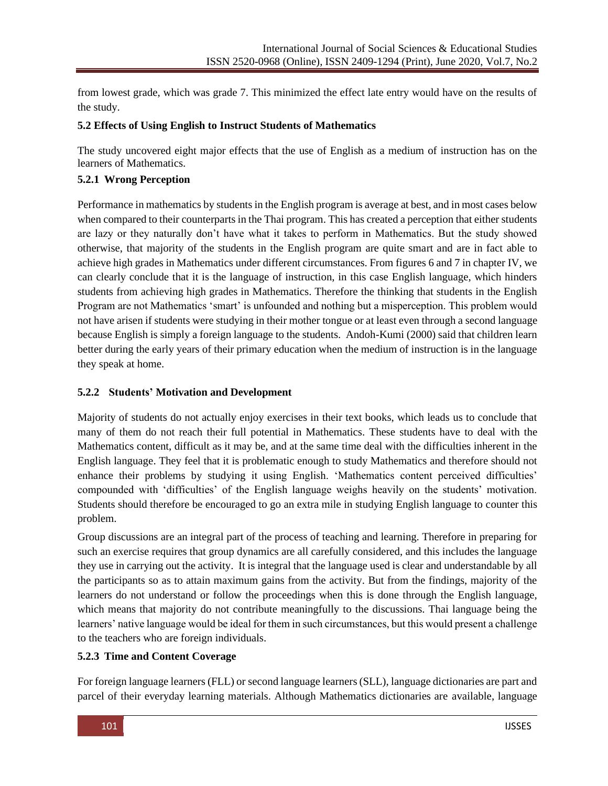from lowest grade, which was grade 7. This minimized the effect late entry would have on the results of the study.

### **5.2 Effects of Using English to Instruct Students of Mathematics**

The study uncovered eight major effects that the use of English as a medium of instruction has on the learners of Mathematics.

# **5.2.1 Wrong Perception**

Performance in mathematics by students in the English program is average at best, and in most cases below when compared to their counterparts in the Thai program. This has created a perception that either students are lazy or they naturally don't have what it takes to perform in Mathematics. But the study showed otherwise, that majority of the students in the English program are quite smart and are in fact able to achieve high grades in Mathematics under different circumstances. From figures 6 and 7 in chapter IV, we can clearly conclude that it is the language of instruction, in this case English language, which hinders students from achieving high grades in Mathematics. Therefore the thinking that students in the English Program are not Mathematics 'smart' is unfounded and nothing but a misperception. This problem would not have arisen if students were studying in their mother tongue or at least even through a second language because English is simply a foreign language to the students. Andoh-Kumi (2000) said that children learn better during the early years of their primary education when the medium of instruction is in the language they speak at home.

### **5.2.2 Students' Motivation and Development**

Majority of students do not actually enjoy exercises in their text books, which leads us to conclude that many of them do not reach their full potential in Mathematics. These students have to deal with the Mathematics content, difficult as it may be, and at the same time deal with the difficulties inherent in the English language. They feel that it is problematic enough to study Mathematics and therefore should not enhance their problems by studying it using English. 'Mathematics content perceived difficulties' compounded with 'difficulties' of the English language weighs heavily on the students' motivation. Students should therefore be encouraged to go an extra mile in studying English language to counter this problem.

Group discussions are an integral part of the process of teaching and learning. Therefore in preparing for such an exercise requires that group dynamics are all carefully considered, and this includes the language they use in carrying out the activity. It is integral that the language used is clear and understandable by all the participants so as to attain maximum gains from the activity. But from the findings, majority of the learners do not understand or follow the proceedings when this is done through the English language, which means that majority do not contribute meaningfully to the discussions. Thai language being the learners' native language would be ideal for them in such circumstances, but this would present a challenge to the teachers who are foreign individuals.

### **5.2.3 Time and Content Coverage**

For foreign language learners (FLL) or second language learners (SLL), language dictionaries are part and parcel of their everyday learning materials. Although Mathematics dictionaries are available, language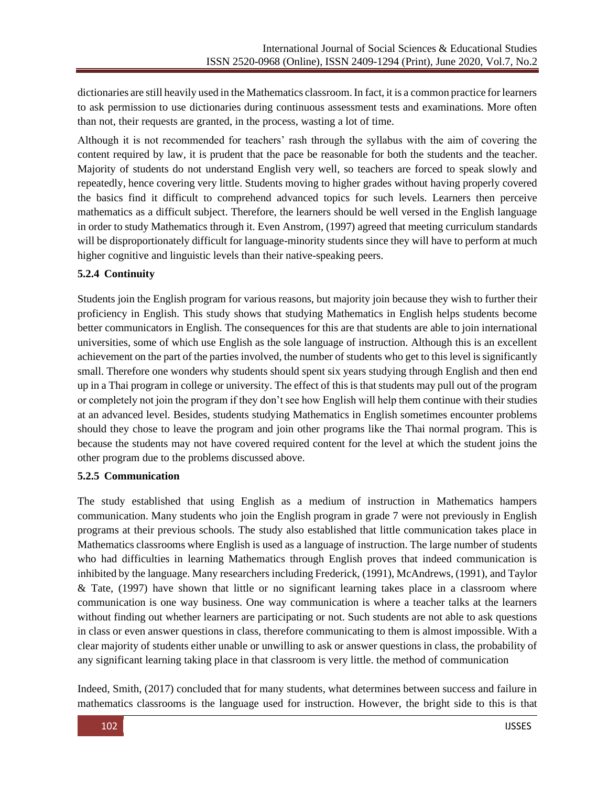dictionaries are still heavily used in the Mathematics classroom. In fact, it is a common practice for learners to ask permission to use dictionaries during continuous assessment tests and examinations. More often than not, their requests are granted, in the process, wasting a lot of time.

Although it is not recommended for teachers' rash through the syllabus with the aim of covering the content required by law, it is prudent that the pace be reasonable for both the students and the teacher. Majority of students do not understand English very well, so teachers are forced to speak slowly and repeatedly, hence covering very little. Students moving to higher grades without having properly covered the basics find it difficult to comprehend advanced topics for such levels. Learners then perceive mathematics as a difficult subject. Therefore, the learners should be well versed in the English language in order to study Mathematics through it. Even Anstrom, (1997) agreed that meeting curriculum standards will be disproportionately difficult for language-minority students since they will have to perform at much higher cognitive and linguistic levels than their native-speaking peers.

# **5.2.4 Continuity**

Students join the English program for various reasons, but majority join because they wish to further their proficiency in English. This study shows that studying Mathematics in English helps students become better communicators in English. The consequences for this are that students are able to join international universities, some of which use English as the sole language of instruction. Although this is an excellent achievement on the part of the parties involved, the number of students who get to this level is significantly small. Therefore one wonders why students should spent six years studying through English and then end up in a Thai program in college or university. The effect of this is that students may pull out of the program or completely not join the program if they don't see how English will help them continue with their studies at an advanced level. Besides, students studying Mathematics in English sometimes encounter problems should they chose to leave the program and join other programs like the Thai normal program. This is because the students may not have covered required content for the level at which the student joins the other program due to the problems discussed above.

# **5.2.5 Communication**

The study established that using English as a medium of instruction in Mathematics hampers communication. Many students who join the English program in grade 7 were not previously in English programs at their previous schools. The study also established that little communication takes place in Mathematics classrooms where English is used as a language of instruction. The large number of students who had difficulties in learning Mathematics through English proves that indeed communication is inhibited by the language. Many researchers including Frederick, (1991), McAndrews, (1991), and Taylor & Tate, (1997) have shown that little or no significant learning takes place in a classroom where communication is one way business. One way communication is where a teacher talks at the learners without finding out whether learners are participating or not. Such students are not able to ask questions in class or even answer questions in class, therefore communicating to them is almost impossible. With a clear majority of students either unable or unwilling to ask or answer questions in class, the probability of any significant learning taking place in that classroom is very little. the method of communication

Indeed, Smith, (2017) concluded that for many students, what determines between success and failure in mathematics classrooms is the language used for instruction. However, the bright side to this is that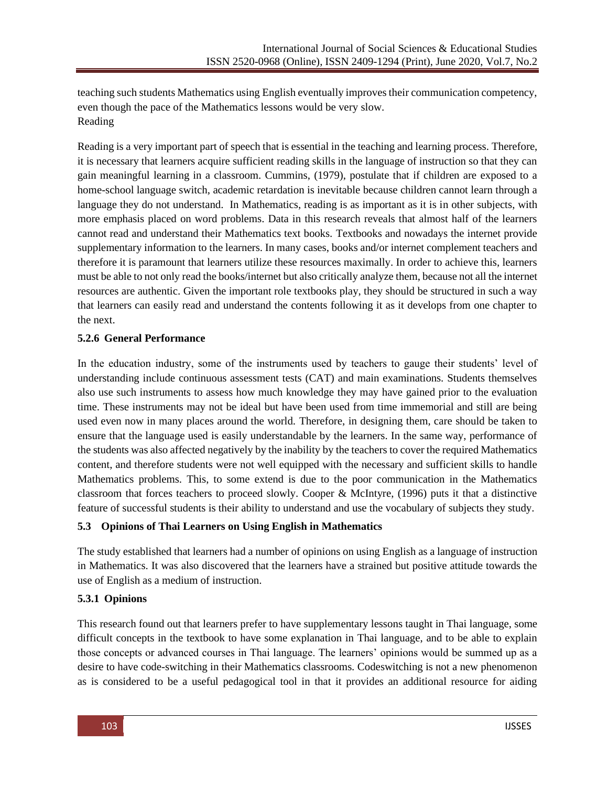teaching such students Mathematics using English eventually improves their communication competency, even though the pace of the Mathematics lessons would be very slow. Reading

Reading is a very important part of speech that is essential in the teaching and learning process. Therefore, it is necessary that learners acquire sufficient reading skills in the language of instruction so that they can gain meaningful learning in a classroom. Cummins, (1979), postulate that if children are exposed to a home-school language switch, academic retardation is inevitable because children cannot learn through a language they do not understand. In Mathematics, reading is as important as it is in other subjects, with more emphasis placed on word problems. Data in this research reveals that almost half of the learners cannot read and understand their Mathematics text books. Textbooks and nowadays the internet provide supplementary information to the learners. In many cases, books and/or internet complement teachers and therefore it is paramount that learners utilize these resources maximally. In order to achieve this, learners must be able to not only read the books/internet but also critically analyze them, because not all the internet resources are authentic. Given the important role textbooks play, they should be structured in such a way that learners can easily read and understand the contents following it as it develops from one chapter to the next.

# **5.2.6 General Performance**

In the education industry, some of the instruments used by teachers to gauge their students' level of understanding include continuous assessment tests (CAT) and main examinations. Students themselves also use such instruments to assess how much knowledge they may have gained prior to the evaluation time. These instruments may not be ideal but have been used from time immemorial and still are being used even now in many places around the world. Therefore, in designing them, care should be taken to ensure that the language used is easily understandable by the learners. In the same way, performance of the students was also affected negatively by the inability by the teachers to cover the required Mathematics content, and therefore students were not well equipped with the necessary and sufficient skills to handle Mathematics problems. This, to some extend is due to the poor communication in the Mathematics classroom that forces teachers to proceed slowly. Cooper & McIntyre, (1996) puts it that a distinctive feature of successful students is their ability to understand and use the vocabulary of subjects they study.

# **5.3 Opinions of Thai Learners on Using English in Mathematics**

The study established that learners had a number of opinions on using English as a language of instruction in Mathematics. It was also discovered that the learners have a strained but positive attitude towards the use of English as a medium of instruction.

# **5.3.1 Opinions**

This research found out that learners prefer to have supplementary lessons taught in Thai language, some difficult concepts in the textbook to have some explanation in Thai language, and to be able to explain those concepts or advanced courses in Thai language. The learners' opinions would be summed up as a desire to have code-switching in their Mathematics classrooms. Codeswitching is not a new phenomenon as is considered to be a useful pedagogical tool in that it provides an additional resource for aiding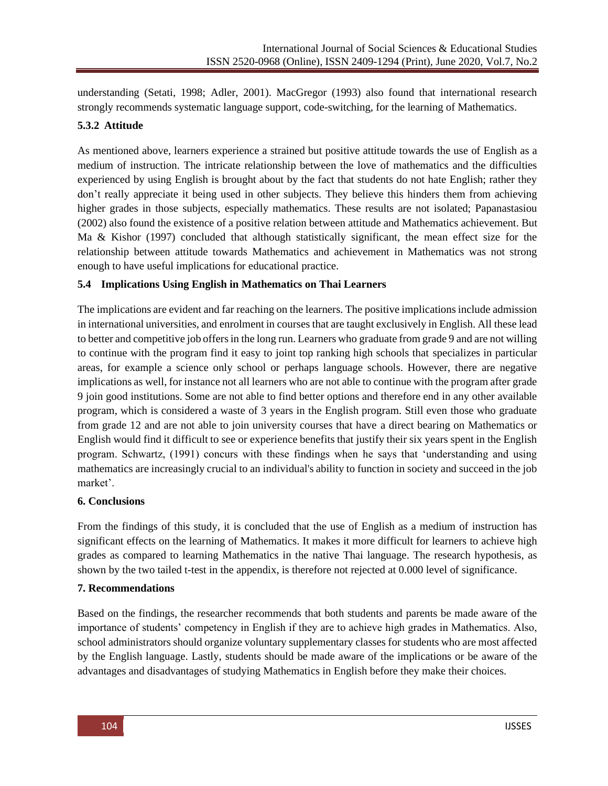understanding (Setati, 1998; Adler, 2001). MacGregor (1993) also found that international research strongly recommends systematic language support, code-switching, for the learning of Mathematics.

# **5.3.2 Attitude**

As mentioned above, learners experience a strained but positive attitude towards the use of English as a medium of instruction. The intricate relationship between the love of mathematics and the difficulties experienced by using English is brought about by the fact that students do not hate English; rather they don't really appreciate it being used in other subjects. They believe this hinders them from achieving higher grades in those subjects, especially mathematics. These results are not isolated; Papanastasiou (2002) also found the existence of a positive relation between attitude and Mathematics achievement. But Ma & Kishor (1997) concluded that although statistically significant, the mean effect size for the relationship between attitude towards Mathematics and achievement in Mathematics was not strong enough to have useful implications for educational practice.

# **5.4 Implications Using English in Mathematics on Thai Learners**

The implications are evident and far reaching on the learners. The positive implications include admission in international universities, and enrolment in courses that are taught exclusively in English. All these lead to better and competitive job offers in the long run. Learners who graduate from grade 9 and are not willing to continue with the program find it easy to joint top ranking high schools that specializes in particular areas, for example a science only school or perhaps language schools. However, there are negative implications as well, for instance not all learners who are not able to continue with the program after grade 9 join good institutions. Some are not able to find better options and therefore end in any other available program, which is considered a waste of 3 years in the English program. Still even those who graduate from grade 12 and are not able to join university courses that have a direct bearing on Mathematics or English would find it difficult to see or experience benefits that justify their six years spent in the English program. Schwartz, (1991) concurs with these findings when he says that 'understanding and using mathematics are increasingly crucial to an individual's ability to function in society and succeed in the job market'.

# **6. Conclusions**

From the findings of this study, it is concluded that the use of English as a medium of instruction has significant effects on the learning of Mathematics. It makes it more difficult for learners to achieve high grades as compared to learning Mathematics in the native Thai language. The research hypothesis, as shown by the two tailed t-test in the appendix, is therefore not rejected at 0.000 level of significance.

# **7. Recommendations**

Based on the findings, the researcher recommends that both students and parents be made aware of the importance of students' competency in English if they are to achieve high grades in Mathematics. Also, school administrators should organize voluntary supplementary classes for students who are most affected by the English language. Lastly, students should be made aware of the implications or be aware of the advantages and disadvantages of studying Mathematics in English before they make their choices.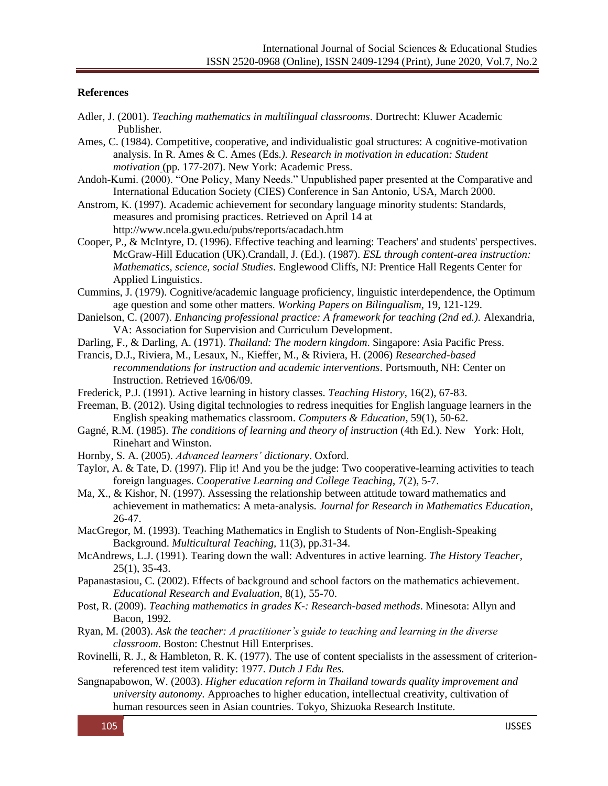### **References**

- Adler, J. (2001). *Teaching mathematics in multilingual classrooms*. Dortrecht: Kluwer Academic Publisher.
- Ames, C. (1984). Competitive, cooperative, and individualistic goal structures: A cognitive-motivation analysis. In R. Ames & C. Ames (Eds*.). Research in motivation in education: Student motivation* (pp. 177-207). New York: Academic Press.
- Andoh-Kumi. (2000). "One Policy, Many Needs." Unpublished paper presented at the Comparative and International Education Society (CIES) Conference in San Antonio, USA, March 2000.
- Anstrom, K. (1997). Academic achievement for secondary language minority students: Standards, measures and promising practices. Retrieved on April 14 at http://www.ncela.gwu.edu/pubs/reports/acadach.htm
- Cooper, P., & McIntyre, D. (1996). Effective teaching and learning: Teachers' and students' perspectives. McGraw-Hill Education (UK).Crandall, J. (Ed.). (1987). *ESL through content-area instruction: Mathematics, science, social Studies*. Englewood Cliffs, NJ: Prentice Hall Regents Center for Applied Linguistics.
- Cummins, J. (1979). Cognitive/academic language proficiency, linguistic interdependence, the Optimum age question and some other matters. *Working Papers on Bilingualism*, 19, 121-129.
- Danielson, C. (2007). *Enhancing professional practice: A framework for teaching (2nd ed.).* Alexandria, VA: Association for Supervision and Curriculum Development.
- Darling, F., & Darling, A. (1971). *Thailand: The modern kingdom*. Singapore: Asia Pacific Press.
- Francis, D.J., Riviera, M., Lesaux, N., Kieffer, M., & Riviera, H. (2006) *Researched-based recommendations for instruction and academic interventions*. Portsmouth, NH: Center on Instruction. Retrieved 16/06/09.
- Frederick, P.J. (1991). Active learning in history classes. *Teaching History*, 16(2), 67-83.
- Freeman, B. (2012). Using digital technologies to redress inequities for English language learners in the English speaking mathematics classroom. *Computers & Education*, 59(1), 50-62.
- Gagné, R.M. (1985). *The conditions of learning and theory of instruction* (4th Ed.). New York: Holt, Rinehart and Winston.
- Hornby, S. A. (2005). *Advanced learners' dictionary*. Oxford.
- Taylor, A. & Tate, D. (1997). Flip it! And you be the judge: Two cooperative-learning activities to teach foreign languages. C*ooperative Learning and College Teaching*, 7(2), 5-7.
- Ma, X., & Kishor, N. (1997). Assessing the relationship between attitude toward mathematics and achievement in mathematics: A meta-analysis*. Journal for Research in Mathematics Education*, 26-47.
- MacGregor, M. (1993). Teaching Mathematics in English to Students of Non-English-Speaking Background. *Multicultural Teaching,* 11(3), pp.31-34.
- McAndrews, L.J. (1991). Tearing down the wall: Adventures in active learning. *The History Teacher*, 25(1), 35-43.
- Papanastasiou, C. (2002). Effects of background and school factors on the mathematics achievement. *Educational Research and Evaluation*, 8(1), 55-70.
- Post, R. (2009). *Teaching mathematics in grades K-: Research-based methods*. Minesota: Allyn and Bacon, 1992.
- Ryan, M. (2003). *Ask the teacher: A practitioner's guide to teaching and learning in the diverse classroom*. Boston: Chestnut Hill Enterprises.
- Rovinelli, R. J., & Hambleton, R. K. (1977). The use of content specialists in the assessment of criterionreferenced test item validity: 1977. *Dutch J Edu Res.*
- Sangnapabowon, W. (2003). *Higher education reform in Thailand towards quality improvement and university autonomy.* Approaches to higher education, intellectual creativity, cultivation of human resources seen in Asian countries. Tokyo, Shizuoka Research Institute.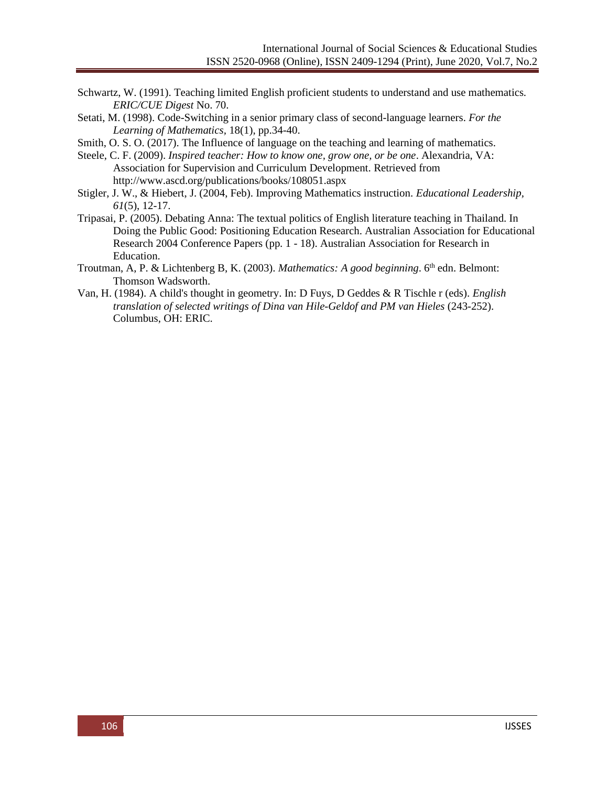- Schwartz, W. (1991). Teaching limited English proficient students to understand and use mathematics*. ERIC/CUE Digest* No. 70.
- Setati, M. (1998). Code-Switching in a senior primary class of second-language learners. *For the Learning of Mathematics,* 18(1), pp.34-40.
- Smith, O. S. O. (2017). The Influence of language on the teaching and learning of mathematics.
- Steele, C. F. (2009). *Inspired teacher: How to know one, grow one, or be one*. Alexandria, VA: Association for Supervision and Curriculum Development. Retrieved from <http://www.ascd.org/publications/books/108051.aspx>
- Stigler, J. W., & Hiebert, J. (2004, Feb). Improving Mathematics instruction. *Educational Leadership, 61*(5), 12-17.
- Tripasai, P. (2005). Debating Anna: The textual politics of English literature teaching in Thailand. In Doing the Public Good: Positioning Education Research. Australian Association for Educational Research 2004 Conference Papers (pp. 1 - 18). Australian Association for Research in Education.
- Troutman, A, P. & Lichtenberg B, K. (2003). *Mathematics: A good beginning*. 6th edn. Belmont: Thomson Wadsworth.
- Van, H. (1984). A child's thought in geometry. In: D Fuys, D Geddes & R Tischle r (eds). *English translation of selected writings of Dina van Hile-Geldof and PM van Hieles* (243-252). Columbus, OH: ERIC.